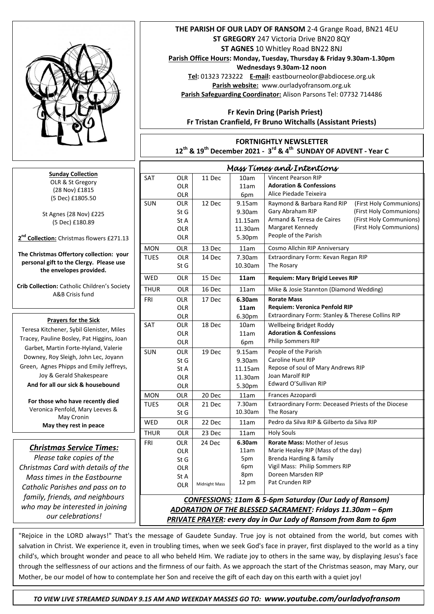

## **Month of the Month of the Holy Rosam** Fr Tristan should provide something here *Mass Times and Intentions*  SAT OLR OLR OLR 11 Dec  $10am$ 11am 6pm Vincent Pearson RIP **Adoration & Confessions** Alice Piedade Teixeira SUN OLR St G St A OLR OLR 12 Dec 9.15am 9.30am 11.15am 11.30am 5.30pm Raymond & Barbara Rand RIP (First Holy Communions) Gary Abraham RIP (First Holy Communions) Armand & Teresa de Caires (First Holy Communions) Margaret Kennedy (First Holy Communions) People of the Parish MON OLR 13 Dec 11am Cosmo Allchin RIP Anniversary TUES OLR St G 14 Dec | 7.30am 10.30am Extraordinary Form: Kevan Regan RIP The Rosary WED OLR 15 Dec **11am Requiem: Mary Brigid Leeves RIP** THUR OLR 16 Dec 11am | Mike & Josie Stannton (Diamond Wedding) FRI OLR OLR OLR 17 Dec **6.30am 11am** 6.30pm **Rorate Mass Requiem: Veronica Penfold RIP** Extraordinary Form: Stanley & Therese Collins RIP SAT OLR OLR OLR 18 Dec 10am 11am 6pm Wellbeing Bridget Roddy **Adoration & Confessions** Philip Sommers RIP SUN OLR St G St A OLR OLR 19 Dec 9.15am 9.30am 11.15am 11.30am 5.30pm People of the Parish Caroline Hunt RIP Repose of soul of Mary Andrews RIP Joan Marolf RIP Edward O'Sullivan RIP MON OLR 20 Dec 11am Frances Azzopardi TUES OLR St G 21 Dec 7.30am 10.30am Extraordinary Form: Deceased Priests of the Diocese The Rosary WED OLR 22 Dec 11am Pedro da Silva RIP & Gilberto da Silva RIP THUR OLR 23 Dec 11am Holy Souls FRI OLR OLR St G OLR St A OLR 24 Dec Midnight Mass **6.30am** 11am 5pm 6pm 8pm 12 pm **Rorate Mass:** Mother of Jesus Marie Healey RIP (Mass of the day) Brenda Harding & family Vigil Mass: Philip Sommers RIP Doreen Marsden RIP Pat Crunden RIP  *CONFESSIONS: 11am & 5-6pm Saturday (Our Lady of Ransom) ADORATION OF THE BLESSED SACRAMENT: Fridays 11.30am – 6pm PRIVATE PRAYER: every day in Our Lady of Ransom from 8am to 6pm*  **Sunday Collection** OLR & St Gregory (28 Nov) £1815 (5 Dec) £1805.50 St Agnes {28 Nov) £225 (5 Dec) £180.89 **2 nd Collection:** Christmas flowers £271.13 **The Christmas Offertory collection: your personal gift to the Clergy. Please use the envelopes provided. Crib Collection:** Catholic Children's Society A&B Crisis fund  Tracey, Pauline Bosley, Pat Higgins, Joan *Christmas Service Times: Please take copies of the Christmas Card with details of the Mass times in the Eastbourne Catholic Parishes and pass on to family, friends, and neighbours who may be interested in joining our celebrations!* **Prayers for the Sick**  Teresa Kitchener, Sybil Glenister, Miles Garbet, Martin Forte-Hyland, Valerie Downey, Roy Sleigh, John Lec, Joyann Green, Agnes Phipps and Emily Jeffreys, Joy & Gerald Shakespeare **And for all our sick & housebound For those who have recently died** Veronica Penfold, Mary Leeves & May Cronin **May they rest in peace**

 salvation in Christ. We experience it, even in troubling times, when we seek God's face in prayer, first displayed to the world as a tiny "Rejoice in the LORD always!" That's the message of Gaudete Sunday. True joy is not obtained from the world, but comes with child's, which brought wonder and peace to all who beheld Him. We radiate joy to others in the same way, by displaying Jesus's face through the selflessness of our actions and the firmness of our faith. As we approach the start of the Christmas season, may Mary, our Mother, be our model of how to contemplate her Son and receive the gift of each day on this earth with a quiet joy!

 **THE PARISH OF OUR LADY OF RANSOM** 2-4 Grange Road, BN21 4EU **ST GREGORY** 247 Victoria Drive BN20 8QY **ST AGNES** 10 Whitley Road BN22 8NJ **Parish Office Hours: Monday, Tuesday, Thursday & Friday 9.30am-1.30pm Wednesdays 9.30am-12 noon**

**Tel:** 01323 723222 **E-mail:** eastbourneolor@abdiocese.org.uk **Parish website:** [www.ourladyofransom.org.uk](http://www.ourladyofransom.org.uk/) **Parish Safeguarding Coordinator:** Alison Parsons Tel: 07732 714486

 **Fr Kevin Dring (Parish Priest) Fr Tristan Cranfield, Fr Bruno Witchalls (Assistant Priests)**

**FORTNIGHTLY NEWSLETTER 12th & 19th December 2021 - 3 rd & 4th SUNDAY OF ADVENT - Year C**

 *TO VIEW LIVE STREAMED SUNDAY 9.15 AM AND WEEKDAY MASSES GO TO: www.youtube.com/ourladyofransom*